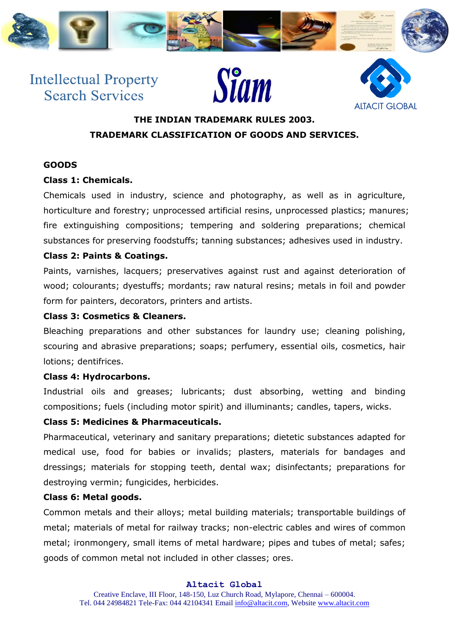

# **Intellectual Property Search Services**





## **THE INDIAN TRADEMARK RULES 2003. TRADEMARK CLASSIFICATION OF GOODS AND SERVICES.**

## **GOODS**

## **Class 1: Chemicals.**

Chemicals used in industry, science and photography, as well as in agriculture, horticulture and forestry; unprocessed artificial resins, unprocessed plastics; manures; fire extinguishing compositions; tempering and soldering preparations; chemical substances for preserving foodstuffs; tanning substances; adhesives used in industry.

## **Class 2: Paints & Coatings.**

Paints, varnishes, lacquers; preservatives against rust and against deterioration of wood; colourants; dyestuffs; mordants; raw natural resins; metals in foil and powder form for painters, decorators, printers and artists.

## **Class 3: Cosmetics & Cleaners.**

Bleaching preparations and other substances for laundry use; cleaning polishing, scouring and abrasive preparations; soaps; perfumery, essential oils, cosmetics, hair lotions; dentifrices.

## **Class 4: Hydrocarbons.**

Industrial oils and greases; lubricants; dust absorbing, wetting and binding compositions; fuels (including motor spirit) and illuminants; candles, tapers, wicks.

## **Class 5: Medicines & Pharmaceuticals.**

Pharmaceutical, veterinary and sanitary preparations; dietetic substances adapted for medical use, food for babies or invalids; plasters, materials for bandages and dressings; materials for stopping teeth, dental wax; disinfectants; preparations for destroying vermin; fungicides, herbicides.

## **Class 6: Metal goods.**

Common metals and their alloys; metal building materials; transportable buildings of metal; materials of metal for railway tracks; non-electric cables and wires of common metal; ironmongery, small items of metal hardware; pipes and tubes of metal; safes; goods of common metal not included in other classes; ores.

#### **Altacit Global**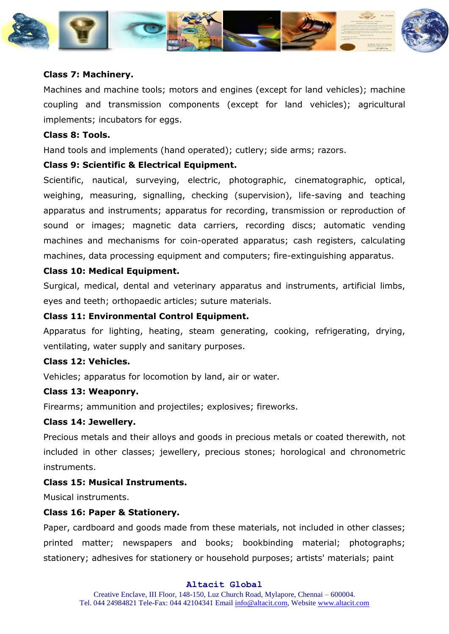

#### **Class 7: Machinery.**

Machines and machine tools; motors and engines (except for land vehicles); machine coupling and transmission components (except for land vehicles); agricultural implements; incubators for eggs.

#### **Class 8: Tools.**

Hand tools and implements (hand operated); cutlery; side arms; razors.

#### **Class 9: Scientific & Electrical Equipment.**

Scientific, nautical, surveying, electric, photographic, cinematographic, optical, weighing, measuring, signalling, checking (supervision), life-saving and teaching apparatus and instruments; apparatus for recording, transmission or reproduction of sound or images; magnetic data carriers, recording discs; automatic vending machines and mechanisms for coin-operated apparatus; cash registers, calculating machines, data processing equipment and computers; fire-extinguishing apparatus.

#### **Class 10: Medical Equipment.**

Surgical, medical, dental and veterinary apparatus and instruments, artificial limbs, eyes and teeth; orthopaedic articles; suture materials.

#### **Class 11: Environmental Control Equipment.**

Apparatus for lighting, heating, steam generating, cooking, refrigerating, drying, ventilating, water supply and sanitary purposes.

## **Class 12: Vehicles.**

Vehicles; apparatus for locomotion by land, air or water.

#### **Class 13: Weaponry.**

Firearms; ammunition and projectiles; explosives; fireworks.

#### **Class 14: Jewellery.**

Precious metals and their alloys and goods in precious metals or coated therewith, not included in other classes; jewellery, precious stones; horological and chronometric instruments.

## **Class 15: Musical Instruments.**

Musical instruments.

#### **Class 16: Paper & Stationery.**

Paper, cardboard and goods made from these materials, not included in other classes; printed matter; newspapers and books; bookbinding material; photographs; stationery; adhesives for stationery or household purposes; artists' materials; paint

#### **Altacit Global**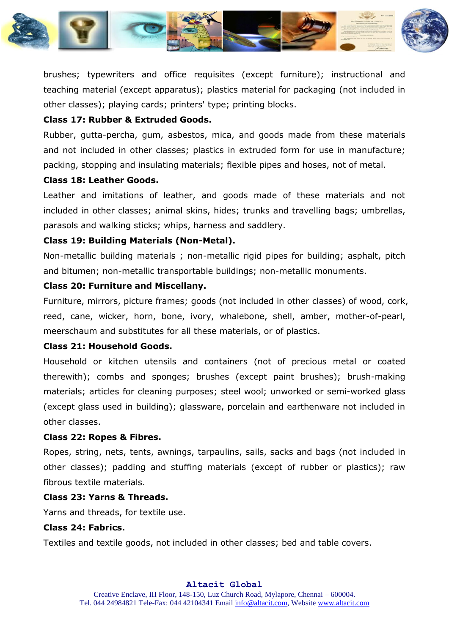

brushes; typewriters and office requisites (except furniture); instructional and teaching material (except apparatus); plastics material for packaging (not included in other classes); playing cards; printers' type; printing blocks.

## **Class 17: Rubber & Extruded Goods.**

Rubber, gutta-percha, gum, asbestos, mica, and goods made from these materials and not included in other classes; plastics in extruded form for use in manufacture; packing, stopping and insulating materials; flexible pipes and hoses, not of metal.

#### **Class 18: Leather Goods.**

Leather and imitations of leather, and goods made of these materials and not included in other classes; animal skins, hides; trunks and travelling bags; umbrellas, parasols and walking sticks; whips, harness and saddlery.

## **Class 19: Building Materials (Non-Metal).**

Non-metallic building materials ; non-metallic rigid pipes for building; asphalt, pitch and bitumen; non-metallic transportable buildings; non-metallic monuments.

#### **Class 20: Furniture and Miscellany.**

Furniture, mirrors, picture frames; goods (not included in other classes) of wood, cork, reed, cane, wicker, horn, bone, ivory, whalebone, shell, amber, mother-of-pearl, meerschaum and substitutes for all these materials, or of plastics.

## **Class 21: Household Goods.**

Household or kitchen utensils and containers (not of precious metal or coated therewith); combs and sponges; brushes (except paint brushes); brush-making materials; articles for cleaning purposes; steel wool; unworked or semi-worked glass (except glass used in building); glassware, porcelain and earthenware not included in other classes.

#### **Class 22: Ropes & Fibres.**

Ropes, string, nets, tents, awnings, tarpaulins, sails, sacks and bags (not included in other classes); padding and stuffing materials (except of rubber or plastics); raw fibrous textile materials.

## **Class 23: Yarns & Threads.**

Yarns and threads, for textile use.

## **Class 24: Fabrics.**

Textiles and textile goods, not included in other classes; bed and table covers.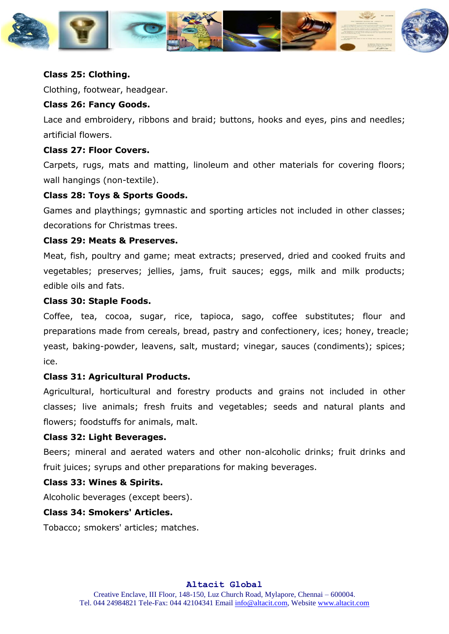

#### **Class 25: Clothing.**

Clothing, footwear, headgear.

#### **Class 26: Fancy Goods.**

Lace and embroidery, ribbons and braid; buttons, hooks and eyes, pins and needles; artificial flowers.

#### **Class 27: Floor Covers.**

Carpets, rugs, mats and matting, linoleum and other materials for covering floors; wall hangings (non-textile).

#### **Class 28: Toys & Sports Goods.**

Games and playthings; gymnastic and sporting articles not included in other classes; decorations for Christmas trees.

## **Class 29: Meats & Preserves.**

Meat, fish, poultry and game; meat extracts; preserved, dried and cooked fruits and vegetables; preserves; jellies, jams, fruit sauces; eggs, milk and milk products; edible oils and fats.

#### **Class 30: Staple Foods.**

Coffee, tea, cocoa, sugar, rice, tapioca, sago, coffee substitutes; flour and preparations made from cereals, bread, pastry and confectionery, ices; honey, treacle; yeast, baking-powder, leavens, salt, mustard; vinegar, sauces (condiments); spices; ice.

#### **Class 31: Agricultural Products.**

Agricultural, horticultural and forestry products and grains not included in other classes; live animals; fresh fruits and vegetables; seeds and natural plants and flowers; foodstuffs for animals, malt.

#### **Class 32: Light Beverages.**

Beers; mineral and aerated waters and other non-alcoholic drinks; fruit drinks and fruit juices; syrups and other preparations for making beverages.

#### **Class 33: Wines & Spirits.**

Alcoholic beverages (except beers).

#### **Class 34: Smokers' Articles.**

Tobacco; smokers' articles; matches.